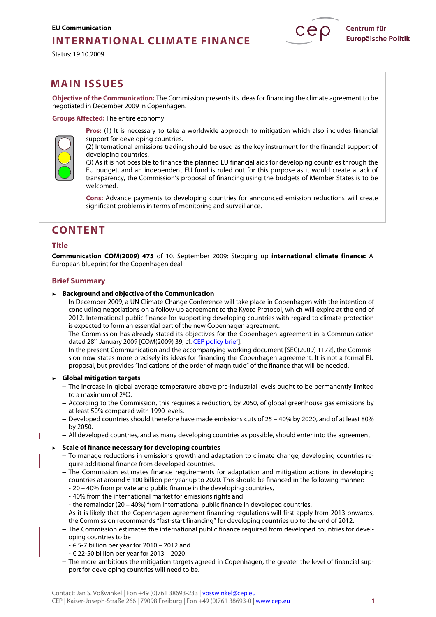## **INTERNATIONAL CLIMATE FINANCE**

Status: 19.10.2009

## **MAIN ISSUES**

**Objective of the Communication:** The Commission presents its ideas for financing the climate agreement to be negotiated in December 2009 in Copenhagen.

**Groups Affected:** The entire economy



**Pros:** (1) It is necessary to take a worldwide approach to mitigation which also includes financial support for developing countries.

(2) International emissions trading should be used as the key instrument for the financial support of developing countries.

(3) As it is not possible to finance the planned EU financial aids for developing countries through the EU budget, and an independent EU fund is ruled out for this purpose as it would create a lack of transparency, the Commission's proposal of financing using the budgets of Member States is to be welcomed.

**Cons:** Advance payments to developing countries for announced emission reductions will create significant problems in terms of monitoring and surveillance.

## **CONTENT**

## **Title**

T

**Communication COM(2009) 475** of 10. September 2009: Stepping up **international climate finance:** A European blueprint for the Copenhagen deal

## **Brief Summary**

- ► **Background and objective of the Communication** 
	- In December 2009, a UN Climate Change Conference will take place in Copenhagen with the intention of concluding negotiations on a follow-up agreement to the Kyoto Protocol, which will expire at the end of 2012. International public finance for supporting developing countries with regard to climate protection is expected to form an essential part of the new Copenhagen agreement.
	- The Commission has already stated its objectives for the Copenhagen agreement in a Communication dated 28th January 2009 [COM(2009) 39, cf. [CEP policy brief](http://www.cep.eu/en/analyses-of-eu-policy/environment/climate-change-agreement/)].
	- In the present Communication and the accompanying working document [SEC(2009) 1172], the Commission now states more precisely its ideas for financing the Copenhagen agreement. It is not a formal EU proposal, but provides "indications of the order of magnitude" of the finance that will be needed.

## ► **Global mitigation targets**

- The increase in global average temperature above pre-industrial levels ought to be permanently limited to a maximum of 2ºC.
- According to the Commission, this requires a reduction, by 2050, of global greenhouse gas emissions by at least 50% compared with 1990 levels.
- Developed countries should therefore have made emissions cuts of 25 40% by 2020, and of at least 80% by 2050.
- All developed countries, and as many developing countries as possible, should enter into the agreement.

### ► **Scale of finance necessary for developing countries**

- To manage reductions in emissions growth and adaptation to climate change, developing countries require additional finance from developed countries.
- The Commission estimates finance requirements for adaptation and mitigation actions in developing countries at around € 100 billion per year up to 2020. This should be financed in the following manner:
	- 20 40% from private and public finance in the developing countries,
	- 40% from the international market for emissions rights and
	- the remainder (20 40%) from international public finance in developed countries.
- As it is likely that the Copenhagen agreement financing regulations will first apply from 2013 onwards, the Commission recommends "fast-start financing" for developing countries up to the end of 2012.
- The Commission estimates the international public finance required from developed countries for developing countries to be
	- € 5-7 billion per year for 2010 2012 and
- € 22-50 billion per year for 2013 2020.
- The more ambitious the mitigation targets agreed in Copenhagen, the greater the level of financial support for developing countries will need to be.

Centrum für

**Europäische Politik**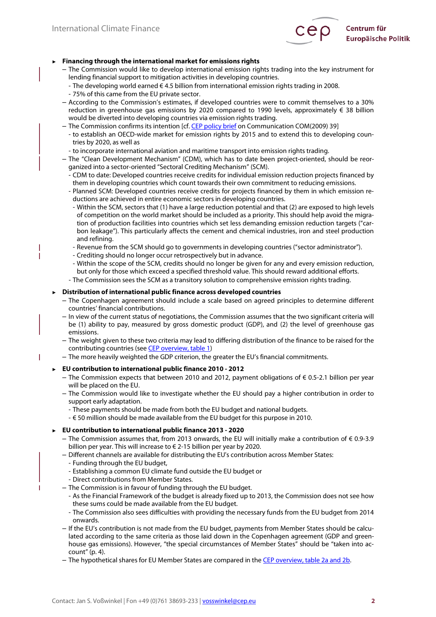Ï

ı



### ► **Financing through the international market for emissions rights**

- The Commission would like to develop international emission rights trading into the key instrument for lending financial support to mitigation activities in developing countries.
- The developing world earned € 4.5 billion from international emission rights trading in 2008. - 75% of this came from the EU private sector.
- According to the Commission's estimates, if developed countries were to commit themselves to a 30% reduction in greenhouse gas emissions by 2020 compared to 1990 levels, approximately € 38 billion would be diverted into developing countries via emission rights trading.
- The Commission confirms its intention [cf[. CEP policy brief](http://www.cep.eu/en/analyses-of-eu-policy/environment/climate-change-agreement/) on Communication COM(2009) 39]
	- to establish an OECD-wide market for emission rights by 2015 and to extend this to developing countries by 2020, as well as
	- to incorporate international aviation and maritime transport into emission rights trading.
- The "Clean Development Mechanism" (CDM), which has to date been project-oriented, should be reorganized into a sector-oriented "Sectoral Crediting Mechanism" (SCM).
	- CDM to date: Developed countries receive credits for individual emission reduction projects financed by them in developing countries which count towards their own commitment to reducing emissions.
	- Planned SCM: Developed countries receive credits for projects financed by them in which emission reductions are achieved in entire economic sectors in developing countries.
		- Within the SCM, sectors that (1) have a large reduction potential and that (2) are exposed to high levels of competition on the world market should be included as a priority. This should help avoid the migration of production facilities into countries which set less demanding emission reduction targets ("carbon leakage"). This particularly affects the cement and chemical industries, iron and steel production and refining.
	- Revenue from the SCM should go to governments in developing countries ("sector administrator").
	- Crediting should no longer occur retrospectively but in advance.
	- Within the scope of the SCM, credits should no longer be given for any and every emission reduction, but only for those which exceed a specified threshold value. This should reward additional efforts.
	- The Commission sees the SCM as a transitory solution to comprehensive emission rights trading.

### ► **Distribution of international public finance across developed countries**

- The Copenhagen agreement should include a scale based on agreed principles to determine different countries' financial contributions.
- In view of the current status of negotiations, the Commission assumes that the two significant criteria will be (1) ability to pay, measured by gross domestic product (GDP), and (2) the level of greenhouse gas emissions.
- The weight given to these two criteria may lead to differing distribution of the finance to be raised for the contributing countries (se[e CEP overview, table 1\)](http://www.cep.eu/en/analyses-of-eu-policy/environment/international-climate-finance/)
- The more heavily weighted the GDP criterion, the greater the EU's financial commitments.
- ► **EU contribution to international public finance 2010 2012** 
	- $−$  The Commission expects that between 2010 and 2012, payment obligations of € 0.5-2.1 billion per year will be placed on the EU.
	- The Commission would like to investigate whether the EU should pay a higher contribution in order to support early adaptation.
		- These payments should be made from both the EU budget and national budgets.
		- € 50 million should be made available from the EU budget for this purpose in 2010.

## ► **EU contribution to international public finance 2013 - 2020**

- The Commission assumes that, from 2013 onwards, the EU will initially make a contribution of € 0.9-3.9 billion per year. This will increase to € 2-15 billion per year by 2020.
- Different channels are available for distributing the EU's contribution across Member States:
	- Funding through the EU budget,
	- Establishing a common EU climate fund outside the EU budget or
	- Direct contributions from Member States.
- The Commission is in favour of funding through the EU budget.
	- As the Financial Framework of the budget is already fixed up to 2013, the Commission does not see how these sums could be made available from the EU budget.
	- The Commission also sees difficulties with providing the necessary funds from the EU budget from 2014 onwards.
- If the EU's contribution is not made from the EU budget, payments from Member States should be calculated according to the same criteria as those laid down in the Copenhagen agreement (GDP and greenhouse gas emissions). However, "the special circumstances of Member States" should be "taken into account" (p. 4).
- The hypothetical shares for EU Member States are compared in the [CEP overview, table 2a and 2b.](http://www.cep.eu/en/analyses-of-eu-policy/environment/international-climate-finance/)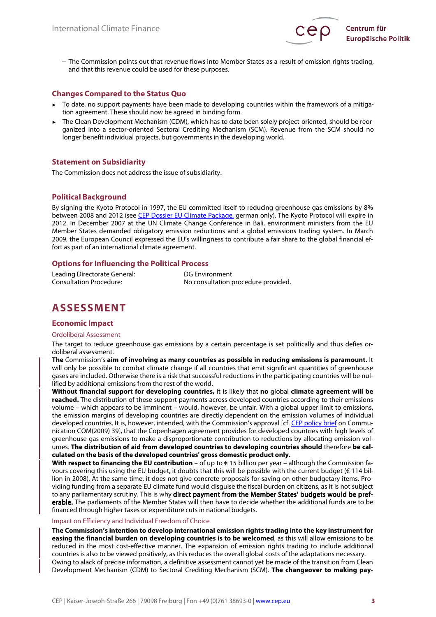

– The Commission points out that revenue flows into Member States as a result of emission rights trading, and that this revenue could be used for these purposes.

## **Changes Compared to the Status Quo**

- To date, no support payments have been made to developing countries within the framework of a mitigation agreement. These should now be agreed in binding form.
- The Clean Development Mechanism (CDM), which has to date been solely project-oriented, should be reorganized into a sector-oriented Sectoral Crediting Mechanism (SCM). Revenue from the SCM should no longer benefit individual projects, but governments in the developing world.

### **Statement on Subsidiarity**

The Commission does not address the issue of subsidiarity.

### **Political Background**

By signing the Kyoto Protocol in 1997, the EU committed itself to reducing greenhouse gas emissions by 8% between 2008 and 2012 (see [CEP Dossier EU Climate Package](http://www.cep.eu/analysen-zur-eu-politik/umwelt/energieeffizienz0/), german only). The Kyoto Protocol will expire in 2012. In December 2007 at the UN Climate Change Conference in Bali, environment ministers from the EU Member States demanded obligatory emission reductions and a global emissions trading system. In March 2009, the European Council expressed the EU's willingness to contribute a fair share to the global financial effort as part of an international climate agreement.

## **Options for Influencing the Political Process**

| Leading Directorate General: | DG Environment                      |
|------------------------------|-------------------------------------|
| Consultation Procedure:      | No consultation procedure provided. |

# **ASSESSMENT**

### **Economic Impact**

### Ordoliberal Assessment

The target to reduce greenhouse gas emissions by a certain percentage is set politically and thus defies ordoliberal assessment.

**The** Commission's **aim of involving as many countries as possible in reducing emissions is paramount.** It will only be possible to combat climate change if all countries that emit significant quantities of greenhouse gases are included. Otherwise there is a risk that successful reductions in the participating countries will be nullified by additional emissions from the rest of the world.

**Without financial support for developing countries,** it is likely that **no** global **climate agreement will be reached.** The distribution of these support payments across developed countries according to their emissions volume – which appears to be imminent – would, however, be unfair. With a global upper limit to emissions, the emission margins of developing countries are directly dependent on the emission volumes of individual developed countries. It is, however, intended, with the Commission's approval [cf. [CEP policy brief](http://www.cep.eu/en/analyses-of-eu-policy/environment/climate-change-agreement/) on Communication COM(2009) 39], that the Copenhagen agreement provides for developed countries with high levels of greenhouse gas emissions to make a disproportionate contribution to reductions by allocating emission volumes. **The distribution of aid from developed countries to developing countries should** therefore **be calculated on the basis of the developed countries' gross domestic product only.**

**With respect to financing the EU contribution** – of up to € 15 billion per year – although the Commission favours covering this using the EU budget, it doubts that this will be possible with the current budget (€ 114 billion in 2008). At the same time, it does not give concrete proposals for saving on other budgetary items. Providing funding from a separate EU climate fund would disguise the fiscal burden on citizens, as it is not subject to any parliamentary scrutiny. This is why direct payment from the Member States' budgets would be preferable. The parliaments of the Member States will then have to decide whether the additional funds are to be financed through higher taxes or expenditure cuts in national budgets.

#### Impact on Efficiency and Individual Freedom of Choice

**The Commission's intention to develop international emission rights trading into the key instrument for easing the financial burden on developing countries is to be welcomed**, as this will allow emissions to be reduced in the most cost-effective manner. The expansion of emission rights trading to include additional countries is also to be viewed positively, as this reduces the overall global costs of the adaptations necessary. Owing to alack of precise information, a definitive assessment cannot yet be made of the transition from Clean Development Mechanism (CDM) to Sectoral Crediting Mechanism (SCM). **The changeover to making pay-**